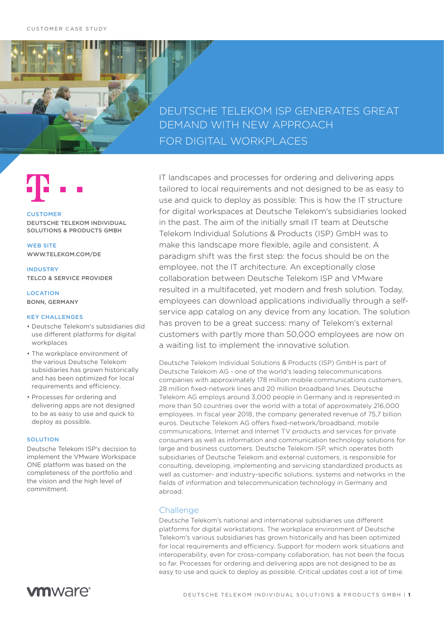DEUTSCHE TELEKOM ISP GENERATES GREAT DEMAND WITH NEW APPROACH FOR DIGITAL WORKPLACES



### CUSTOMER

DEUTSCHE TELEKOM INDIVIDUAL SOLUTIONS & PRODUCTS GMBH

WEB SITE WWW.TELEKOM.COM/DE

INDUSTRY TELCO & SERVICE PROVIDER

LOCATION BONN, GERMANY

### KEY CHALLENGES

- Deutsche Telekom's subsidiaries did use different platforms for digital workplaces
- The workplace environment of the various Deutsche Telekom subsidiaries has grown historically and has been optimized for local requirements and efficiency.
- Processes for ordering and delivering apps are not designed to be as easy to use and quick to deploy as possible.

#### SOLUTION

Deutsche Telekom ISP's decision to implement the VMware Workspace ONE platform was based on the completeness of the portfolio and the vision and the high level of commitment.



IT landscapes and processes for ordering and delivering apps tailored to local requirements and not designed to be as easy to use and quick to deploy as possible: This is how the IT structure for digital workspaces at Deutsche Telekom's subsidiaries looked in the past. The aim of the initially small IT team at Deutsche Telekom Individual Solutions & Products (ISP) GmbH was to make this landscape more flexible, agile and consistent. A paradigm shift was the first step: the focus should be on the employee, not the IT architecture. An exceptionally close collaboration between Deutsche Telekom ISP and VMware resulted in a multifaceted, yet modern and fresh solution. Today, employees can download applications individually through a selfservice app catalog on any device from any location. The solution

has proven to be a great success: many of Telekom's external customers with partly more than 50,000 employees are now on a waiting list to implement the innovative solution.

Deutsche Telekom Individual Solutions & Products (ISP) GmbH is part of Deutsche Telekom AG - one of the world's leading telecommunications companies with approximately 178 million mobile communications customers, 28 million fixed-network lines and 20 million broadband lines. Deutsche Telekom AG employs around 3,000 people in Germany and is represented in more than 50 countries over the world with a total of approximately 216,000 employees. In fiscal year 2018, the company generated revenue of 75,7 billion euros. Deutsche Telekom AG offers fixed-network/broadband, mobile communications, Internet and Internet TV products and services for private consumers as well as information and communication technology solutions for large and business customers. Deutsche Telekom ISP, which operates both subsidiaries of Deutsche Telekom and external customers, is responsible for consulting, developing, implementing and servicing standardized products as well as customer- and industry-specific solutions, systems and networks in the fields of information and telecommunication technology in Germany and abroad.

## **Challenge**

Deutsche Telekom's national and international subsidiaries use different platforms for digital workstations. The workplace environment of Deutsche Telekom's various subsidiaries has grown historically and has been optimized for local requirements and efficiency. Support for modern work situations and interoperability, even for cross-company collaboration, has not been the focus so far. Processes for ordering and delivering apps are not designed to be as easy to use and quick to deploy as possible. Critical updates cost a lot of time.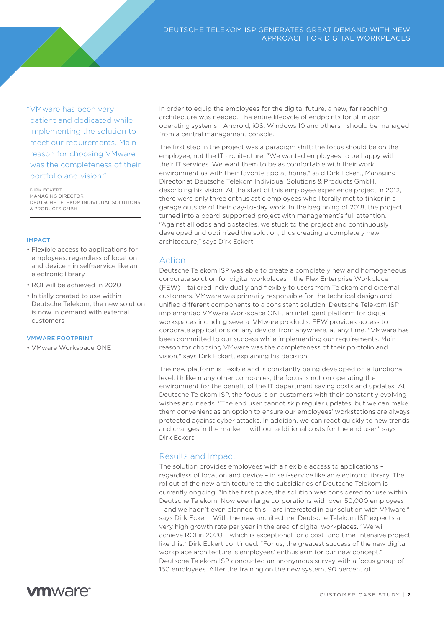"VMware has been very patient and dedicated while implementing the solution to meet our requirements. Main reason for choosing VMware was the completeness of their portfolio and vision."

DIRK ECKERT MANAGING DIRECTOR DEUTSCHE TELEKOM INDIVIDUAL SOLUTIONS & PRODUCTS GMBH

## IMPACT

- Flexible access to applications for employees: regardless of location and device – in self-service like an electronic library
- ROI will be achieved in 2020
- Initially created to use within Deutsche Telekom, the new solution is now in demand with external customers

### VMWARE FOOTPRINT

• VMware Workspace ONE

In order to equip the employees for the digital future, a new, far reaching architecture was needed. The entire lifecycle of endpoints for all major operating systems - Android, iOS, Windows 10 and others - should be managed from a central management console.

The first step in the project was a paradigm shift: the focus should be on the employee, not the IT architecture. "We wanted employees to be happy with their IT services. We want them to be as comfortable with their work environment as with their favorite app at home," said Dirk Eckert, Managing Director at Deutsche Telekom Individual Solutions & Products GmbH, describing his vision. At the start of this employee experience project in 2012, there were only three enthusiastic employees who literally met to tinker in a garage outside of their day-to-day work. In the beginning of 2018, the project turned into a board-supported project with management's full attention. "Against all odds and obstacles, we stuck to the project and continuously developed and optimized the solution, thus creating a completely new architecture," says Dirk Eckert.

## Action

Deutsche Telekom ISP was able to create a completely new and homogeneous corporate solution for digital workplaces – the Flex Enterprise Workplace (FEW) - tailored individually and flexibly to users from Telekom and external customers. VMware was primarily responsible for the technical design and unified different components to a consistent solution. Deutsche Telekom ISP implemented VMware Workspace ONE, an intelligent platform for digital workspaces including several VMware products. FEW provides access to corporate applications on any device, from anywhere, at any time. "VMware has been committed to our success while implementing our requirements. Main reason for choosing VMware was the completeness of their portfolio and vision," says Dirk Eckert, explaining his decision.

The new platform is flexible and is constantly being developed on a functional level. Unlike many other companies, the focus is not on operating the environment for the benefit of the IT department saving costs and updates. At Deutsche Telekom ISP, the focus is on customers with their constantly evolving wishes and needs. "The end user cannot skip regular updates, but we can make them convenient as an option to ensure our employees' workstations are always protected against cyber attacks. In addition, we can react quickly to new trends and changes in the market – without additional costs for the end user," says Dirk Eckert.

# Results and Impact

The solution provides employees with a flexible access to applications regardless of location and device – in self-service like an electronic library. The rollout of the new architecture to the subsidiaries of Deutsche Telekom is currently ongoing. "In the first place, the solution was considered for use within Deutsche Telekom. Now even large corporations with over 50,000 employees – and we hadn't even planned this – are interested in our solution with VMware," says Dirk Eckert. With the new architecture, Deutsche Telekom ISP expects a very high growth rate per year in the area of digital workplaces. "We will achieve ROI in 2020 – which is exceptional for a cost- and time-intensive project like this," Dirk Eckert continued. "For us, the greatest success of the new digital workplace architecture is employees' enthusiasm for our new concept." Deutsche Telekom ISP conducted an anonymous survey with a focus group of 150 employees. After the training on the new system, 90 percent of